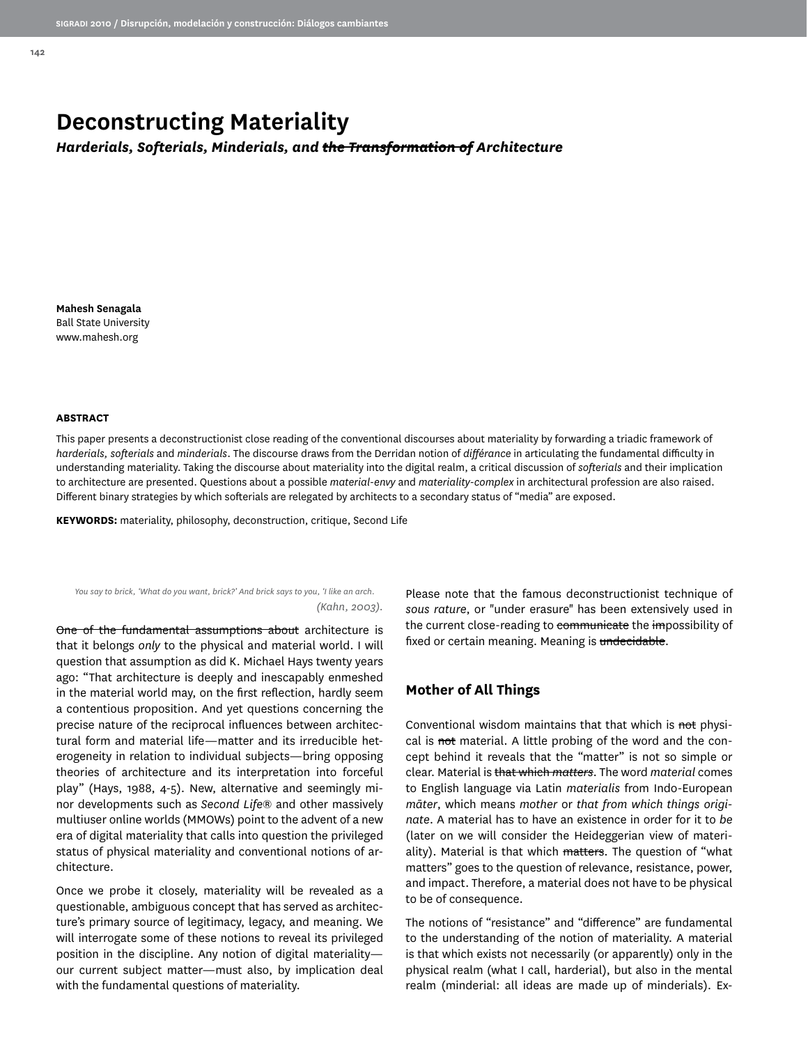# **Deconstructing Materiality**

*Harderials, Softerials, Minderials, and the Transformation of Architecture*

**Mahesh Senagala** Ball State University www.mahesh.org

#### **ABSTRACT**

This paper presents a deconstructionist close reading of the conventional discourses about materiality by forwarding a triadic framework of *harderials, softerials* and *minderials*. The discourse draws from the Derridan notion of *différance* in articulating the fundamental difficulty in understanding materiality. Taking the discourse about materiality into the digital realm, a critical discussion of *softerials* and their implication to architecture are presented. Questions about a possible *material-envy* and *materiality-complex* in architectural profession are also raised. Different binary strategies by which softerials are relegated by architects to a secondary status of "media" are exposed.

**KEYWORDS:** materiality, philosophy, deconstruction, critique, Second Life

*You say to brick, 'What do you want, brick?' And brick says to you, 'I like an arch. (Kahn, 2003).*

One of the fundamental assumptions about architecture is that it belongs *only* to the physical and material world. I will question that assumption as did K. Michael Hays twenty years ago: "That architecture is deeply and inescapably enmeshed in the material world may, on the first reflection, hardly seem a contentious proposition. And yet questions concerning the precise nature of the reciprocal influences between architectural form and material life—matter and its irreducible heterogeneity in relation to individual subjects—bring opposing theories of architecture and its interpretation into forceful play" (Hays, 1988, 4-5). New, alternative and seemingly minor developments such as *Second Life*® and other massively multiuser online worlds (MMOWs) point to the advent of a new era of digital materiality that calls into question the privileged status of physical materiality and conventional notions of architecture.

Once we probe it closely, materiality will be revealed as a questionable, ambiguous concept that has served as architecture's primary source of legitimacy, legacy, and meaning. We will interrogate some of these notions to reveal its privileged position in the discipline. Any notion of digital materiality our current subject matter—must also, by implication deal with the fundamental questions of materiality.

Please note that the famous deconstructionist technique of *sous rature*, or "under erasure" has been extensively used in the current close-reading to communicate the impossibility of fixed or certain meaning. Meaning is undecidable.

#### **Mother of All Things**

Conventional wisdom maintains that that which is not physical is not material. A little probing of the word and the concept behind it reveals that the "matter" is not so simple or clear. Material is that which *matters*. The word *material* comes to English language via Latin *materialis* from Indo-European *māter*, which means *mother* or *that from which things originate*. A material has to have an existence in order for it to *be* (later on we will consider the Heideggerian view of materiality). Material is that which matters. The question of "what matters" goes to the question of relevance, resistance, power, and impact. Therefore, a material does not have to be physical to be of consequence.

The notions of "resistance" and "difference" are fundamental to the understanding of the notion of materiality. A material is that which exists not necessarily (or apparently) only in the physical realm (what I call, harderial), but also in the mental realm (minderial: all ideas are made up of minderials). Ex-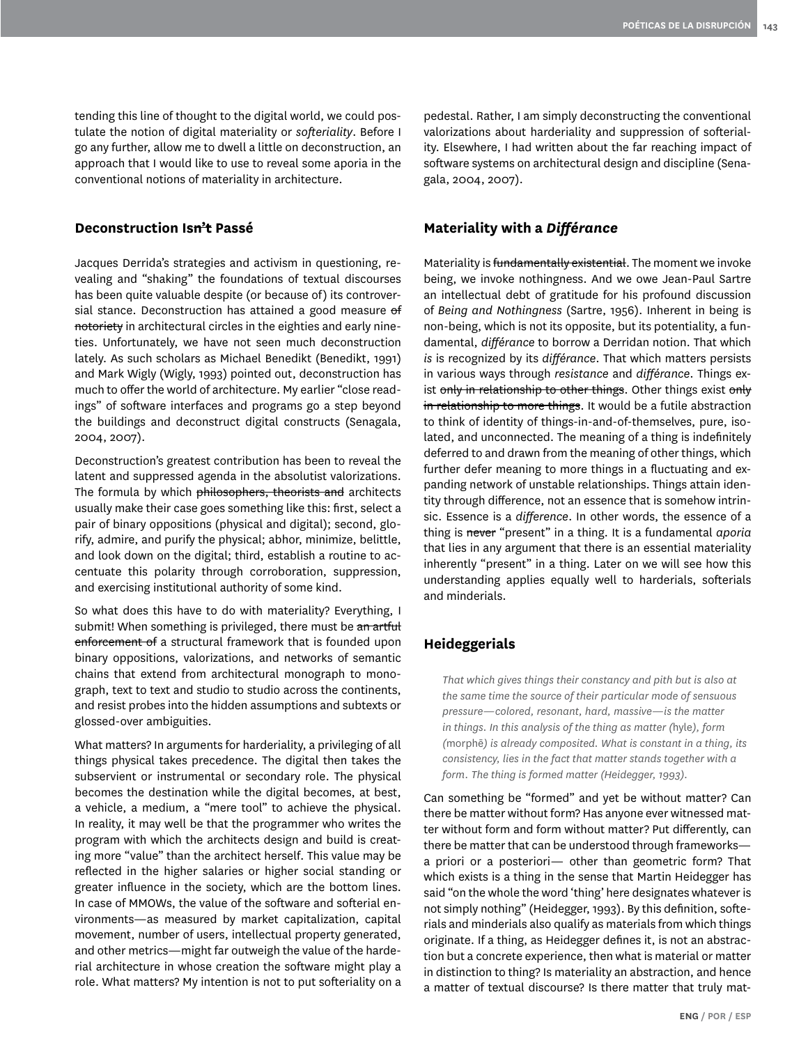tending this line of thought to the digital world, we could postulate the notion of digital materiality or *softeriality*. Before I go any further, allow me to dwell a little on deconstruction, an approach that I would like to use to reveal some aporia in the conventional notions of materiality in architecture.

## **Deconstruction Isn't Passé**

Jacques Derrida's strategies and activism in questioning, revealing and "shaking" the foundations of textual discourses has been quite valuable despite (or because of) its controversial stance. Deconstruction has attained a good measure of notoriety in architectural circles in the eighties and early nineties. Unfortunately, we have not seen much deconstruction lately. As such scholars as Michael Benedikt (Benedikt, 1991) and Mark Wigly (Wigly, 1993) pointed out, deconstruction has much to offer the world of architecture. My earlier "close readings" of software interfaces and programs go a step beyond the buildings and deconstruct digital constructs (Senagala, 2004, 2007).

Deconstruction's greatest contribution has been to reveal the latent and suppressed agenda in the absolutist valorizations. The formula by which philosophers, theorists and architects usually make their case goes something like this: first, select a pair of binary oppositions (physical and digital); second, glorify, admire, and purify the physical; abhor, minimize, belittle, and look down on the digital; third, establish a routine to accentuate this polarity through corroboration, suppression, and exercising institutional authority of some kind.

So what does this have to do with materiality? Everything, I submit! When something is privileged, there must be an artful enforcement of a structural framework that is founded upon binary oppositions, valorizations, and networks of semantic chains that extend from architectural monograph to monograph, text to text and studio to studio across the continents, and resist probes into the hidden assumptions and subtexts or glossed-over ambiguities.

What matters? In arguments for harderiality, a privileging of all things physical takes precedence. The digital then takes the subservient or instrumental or secondary role. The physical becomes the destination while the digital becomes, at best, a vehicle, a medium, a "mere tool" to achieve the physical. In reality, it may well be that the programmer who writes the program with which the architects design and build is creating more "value" than the architect herself. This value may be reflected in the higher salaries or higher social standing or greater influence in the society, which are the bottom lines. In case of MMOWs, the value of the software and softerial environments—as measured by market capitalization, capital movement, number of users, intellectual property generated, and other metrics—might far outweigh the value of the harderial architecture in whose creation the software might play a role. What matters? My intention is not to put softeriality on a

pedestal. Rather, I am simply deconstructing the conventional valorizations about harderiality and suppression of softeriality. Elsewhere, I had written about the far reaching impact of software systems on architectural design and discipline (Senagala, 2004, 2007).

# **Materiality with a** *Différance*

Materiality is fundamentally existential. The moment we invoke being, we invoke nothingness. And we owe Jean-Paul Sartre an intellectual debt of gratitude for his profound discussion of *Being and Nothingness* (Sartre, 1956). Inherent in being is non-being, which is not its opposite, but its potentiality, a fundamental, *différance* to borrow a Derridan notion. That which *is* is recognized by its *différance*. That which matters persists in various ways through *resistance* and *différance*. Things exist only in relationship to other things. Other things exist only in relationship to more things. It would be a futile abstraction to think of identity of things-in-and-of-themselves, pure, isolated, and unconnected. The meaning of a thing is indefinitely deferred to and drawn from the meaning of other things, which further defer meaning to more things in a fluctuating and expanding network of unstable relationships. Things attain identity through difference, not an essence that is somehow intrinsic. Essence is a *difference*. In other words, the essence of a thing is never "present" in a thing. It is a fundamental *aporia*  that lies in any argument that there is an essential materiality inherently "present" in a thing. Later on we will see how this understanding applies equally well to harderials, softerials and minderials.

### **Heideggerials**

*That which gives things their constancy and pith but is also at the same time the source of their particular mode of sensuous pressure—colored, resonant, hard, massive—is the matter in things. In this analysis of the thing as matter (*hyle*), form (*morphē*) is already composited. What is constant in a thing, its consistency, lies in the fact that matter stands together with a form. The thing is formed matter (Heidegger, 1993).*

Can something be "formed" and yet be without matter? Can there be matter without form? Has anyone ever witnessed matter without form and form without matter? Put differently, can there be matter that can be understood through frameworks a priori or a posteriori— other than geometric form? That which exists is a thing in the sense that Martin Heidegger has said "on the whole the word 'thing' here designates whatever is not simply nothing" (Heidegger, 1993). By this definition, softerials and minderials also qualify as materials from which things originate. If a thing, as Heidegger defines it, is not an abstraction but a concrete experience, then what is material or matter in distinction to thing? Is materiality an abstraction, and hence a matter of textual discourse? Is there matter that truly mat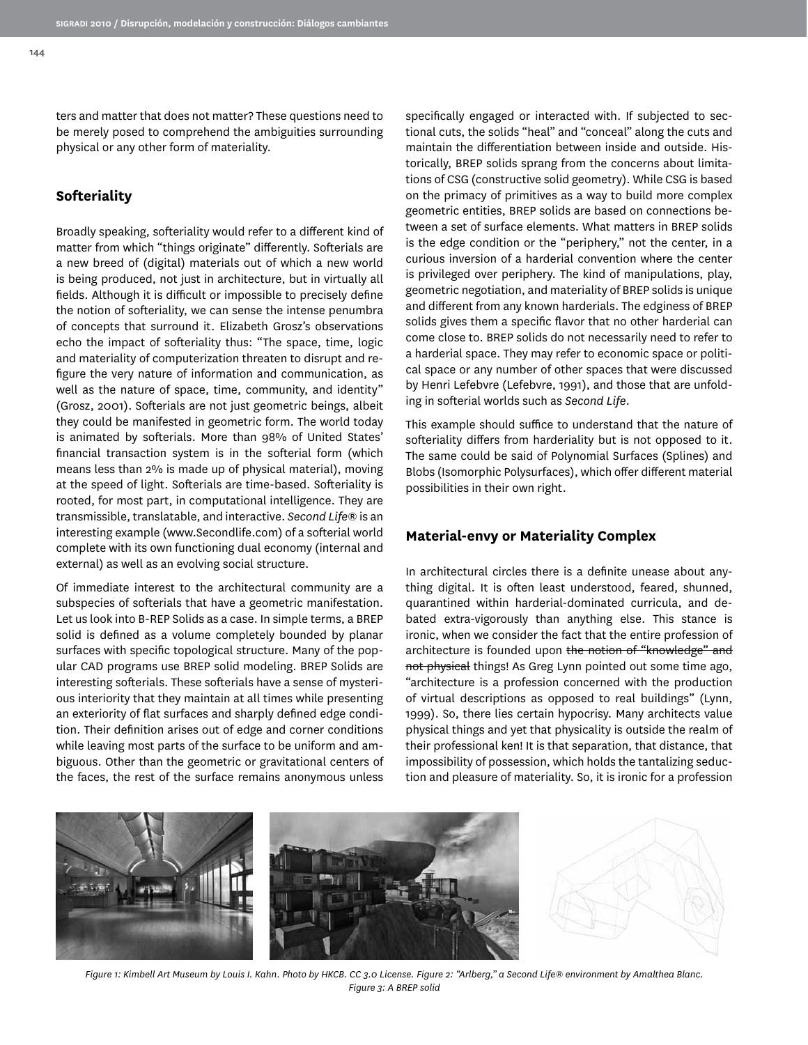ters and matter that does not matter? These questions need to be merely posed to comprehend the ambiguities surrounding physical or any other form of materiality.

# **Softeriality**

**144**

Broadly speaking, softeriality would refer to a different kind of matter from which "things originate" differently. Softerials are a new breed of (digital) materials out of which a new world is being produced, not just in architecture, but in virtually all fields. Although it is difficult or impossible to precisely define the notion of softeriality, we can sense the intense penumbra of concepts that surround it. Elizabeth Grosz's observations echo the impact of softeriality thus: "The space, time, logic and materiality of computerization threaten to disrupt and refigure the very nature of information and communication, as well as the nature of space, time, community, and identity" (Grosz, 2001). Softerials are not just geometric beings, albeit they could be manifested in geometric form. The world today is animated by softerials. More than 98% of United States' financial transaction system is in the softerial form (which means less than 2% is made up of physical material), moving at the speed of light. Softerials are time-based. Softeriality is rooted, for most part, in computational intelligence. They are transmissible, translatable, and interactive. *Second Life*® is an interesting example (www.Secondlife.com) of a softerial world complete with its own functioning dual economy (internal and external) as well as an evolving social structure.

Of immediate interest to the architectural community are a subspecies of softerials that have a geometric manifestation. Let us look into B-REP Solids as a case. In simple terms, a BREP solid is defined as a volume completely bounded by planar surfaces with specific topological structure. Many of the popular CAD programs use BREP solid modeling. BREP Solids are interesting softerials. These softerials have a sense of mysterious interiority that they maintain at all times while presenting an exteriority of flat surfaces and sharply defined edge condition. Their definition arises out of edge and corner conditions while leaving most parts of the surface to be uniform and ambiguous. Other than the geometric or gravitational centers of the faces, the rest of the surface remains anonymous unless

specifically engaged or interacted with. If subjected to sectional cuts, the solids "heal" and "conceal" along the cuts and maintain the differentiation between inside and outside. Historically, BREP solids sprang from the concerns about limitations of CSG (constructive solid geometry). While CSG is based on the primacy of primitives as a way to build more complex geometric entities, BREP solids are based on connections between a set of surface elements. What matters in BREP solids is the edge condition or the "periphery," not the center, in a curious inversion of a harderial convention where the center is privileged over periphery. The kind of manipulations, play, geometric negotiation, and materiality of BREP solids is unique and different from any known harderials. The edginess of BREP solids gives them a specific flavor that no other harderial can come close to. BREP solids do not necessarily need to refer to a harderial space. They may refer to economic space or political space or any number of other spaces that were discussed by Henri Lefebvre (Lefebvre, 1991), and those that are unfolding in softerial worlds such as *Second Life*.

This example should suffice to understand that the nature of softeriality differs from harderiality but is not opposed to it. The same could be said of Polynomial Surfaces (Splines) and Blobs (Isomorphic Polysurfaces), which offer different material possibilities in their own right.

# **Material-envy or Materiality Complex**

In architectural circles there is a definite unease about anything digital. It is often least understood, feared, shunned, quarantined within harderial-dominated curricula, and debated extra-vigorously than anything else. This stance is ironic, when we consider the fact that the entire profession of architecture is founded upon the notion of "knowledge" and not physical things! As Greg Lynn pointed out some time ago, "architecture is a profession concerned with the production of virtual descriptions as opposed to real buildings" (Lynn, 1999). So, there lies certain hypocrisy. Many architects value physical things and yet that physicality is outside the realm of their professional ken! It is that separation, that distance, that impossibility of possession, which holds the tantalizing seduction and pleasure of materiality. So, it is ironic for a profession



*Figure 1: Kimbell Art Museum by Louis I. Kahn. Photo by HKCB. CC 3.0 License. Figure 2: "Arlberg," a Second Life® environment by Amalthea Blanc. Figure 3: A BREP solid*